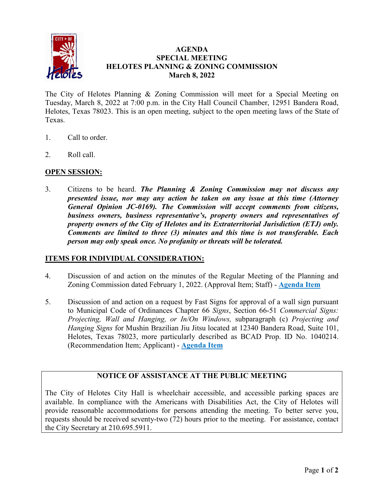

## **AGENDA SPECIAL MEETING HELOTES PLANNING & ZONING COMMISSION March 8, 2022**

The City of Helotes Planning & Zoning Commission will meet for a Special Meeting on Tuesday, March 8, 2022 at 7:00 p.m. in the City Hall Council Chamber, 12951 Bandera Road, Helotes, Texas 78023. This is an open meeting, subject to the open meeting laws of the State of Texas.

- 1. Call to order.
- 2. Roll call.

# **OPEN SESSION:**

3. Citizens to be heard. *The Planning & Zoning Commission may not discuss any presented issue, nor may any action be taken on any issue at this time (Attorney General Opinion JC-0169). The Commission will accept comments from citizens, business owners, business representative's, property owners and representatives of property owners of the City of Helotes and its Extraterritorial Jurisdiction (ETJ) only. Comments are limited to three (3) minutes and this time is not transferable. Each person may only speak once. No profanity or threats will be tolerated.*

### **ITEMS FOR INDIVIDUAL CONSIDERATION:**

- 4. Discussion of and action on the minutes of the Regular Meeting of the Planning and Zoning Commission dated February 1, 2022. (Approval Item; Staff) - **[Agenda Item](https://helotes-tx.gov/wp-content/uploads/2022/03/4-Minutes.pdf)**
- 5. Discussion of and action on a request by Fast Signs for approval of a wall sign pursuant to Municipal Code of Ordinances Chapter 66 *Signs*, Section 66-51 *Commercial Signs: Projecting, Wall and Hanging, or In/On Windows,* subparagraph (c) *Projecting and Hanging Signs* for Mushin Brazilian Jiu Jitsu located at 12340 Bandera Road, Suite 101, Helotes, Texas 78023, more particularly described as BCAD Prop. ID No. 1040214. (Recommendation Item; Applicant) - **[Agenda Item](https://helotes-tx.gov/wp-content/uploads/2022/03/PZ-03.08.22-Item-5-1.pdf)**

# **NOTICE OF ASSISTANCE AT THE PUBLIC MEETING**

The City of Helotes City Hall is wheelchair accessible, and accessible parking spaces are available. In compliance with the Americans with Disabilities Act, the City of Helotes will provide reasonable accommodations for persons attending the meeting. To better serve you, requests should be received seventy-two (72) hours prior to the meeting. For assistance, contact the City Secretary at 210.695.5911.